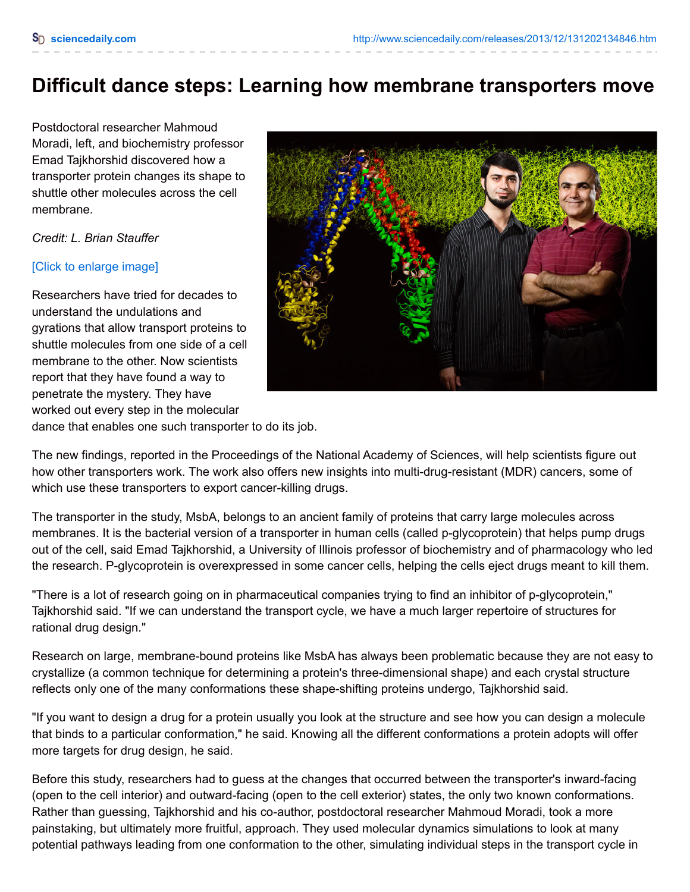## **Difficult dance steps: Learning how membrane transporters move**

Postdoctoral researcher Mahmoud Moradi, left, and biochemistry professor Emad Tajkhorshid discovered how a transporter protein changes its shape to shuttle other molecules across the cell membrane.

*Credit: L. Brian Stauffer*

## [Click to [enlarge](javascript:void(0)) image]

Researchers have tried for decades to understand the undulations and gyrations that allow transport proteins to shuttle molecules from one side of a cell membrane to the other. Now scientists report that they have found a way to penetrate the mystery. They have worked out every step in the molecular



dance that enables one such transporter to do its job.

The new findings, reported in the Proceedings of the National Academy of Sciences, will help scientists figure out how other transporters work. The work also offers new insights into multi-drug-resistant (MDR) cancers, some of which use these transporters to export cancer-killing drugs.

The transporter in the study, MsbA, belongs to an ancient family of proteins that carry large molecules across membranes. It is the bacterial version of a transporter in human cells (called p-glycoprotein) that helps pump drugs out of the cell, said Emad Tajkhorshid, a University of Illinois professor of biochemistry and of pharmacology who led the research. P-glycoprotein is overexpressed in some cancer cells, helping the cells eject drugs meant to kill them.

"There is a lot of research going on in pharmaceutical companies trying to find an inhibitor of p-glycoprotein," Tajkhorshid said. "If we can understand the transport cycle, we have a much larger repertoire of structures for rational drug design."

Research on large, membrane-bound proteins like MsbA has always been problematic because they are not easy to crystallize (a common technique for determining a protein's three-dimensional shape) and each crystal structure reflects only one of the many conformations these shape-shifting proteins undergo, Tajkhorshid said.

"If you want to design a drug for a protein usually you look at the structure and see how you can design a molecule that binds to a particular conformation," he said. Knowing all the different conformations a protein adopts will offer more targets for drug design, he said.

Before this study, researchers had to guess at the changes that occurred between the transporter's inward-facing (open to the cell interior) and outward-facing (open to the cell exterior) states, the only two known conformations. Rather than guessing, Tajkhorshid and his co-author, postdoctoral researcher Mahmoud Moradi, took a more painstaking, but ultimately more fruitful, approach. They used molecular dynamics simulations to look at many potential pathways leading from one conformation to the other, simulating individual steps in the transport cycle in